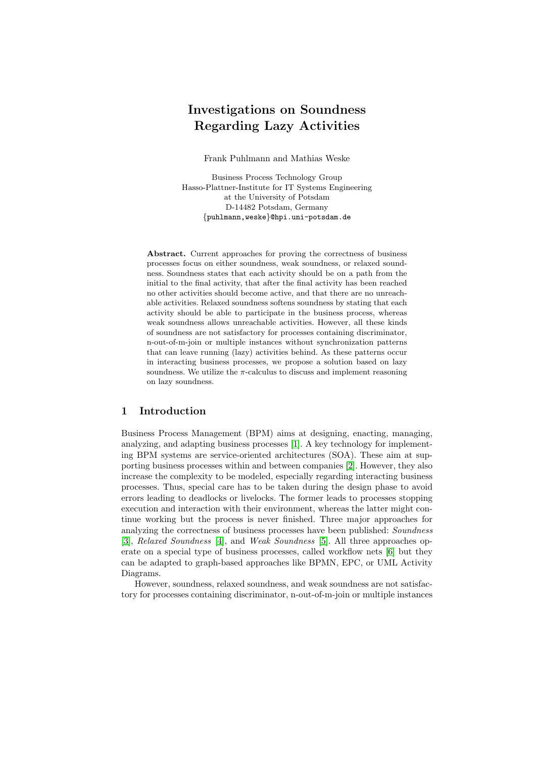# Investigations on Soundness Regarding Lazy Activities

Frank Puhlmann and Mathias Weske

Business Process Technology Group Hasso-Plattner-Institute for IT Systems Engineering at the University of Potsdam D-14482 Potsdam, Germany {puhlmann,weske}@hpi.uni-potsdam.de

Abstract. Current approaches for proving the correctness of business processes focus on either soundness, weak soundness, or relaxed soundness. Soundness states that each activity should be on a path from the initial to the final activity, that after the final activity has been reached no other activities should become active, and that there are no unreachable activities. Relaxed soundness softens soundness by stating that each activity should be able to participate in the business process, whereas weak soundness allows unreachable activities. However, all these kinds of soundness are not satisfactory for processes containing discriminator, n-out-of-m-join or multiple instances without synchronization patterns that can leave running (lazy) activities behind. As these patterns occur in interacting business processes, we propose a solution based on lazy soundness. We utilize the  $\pi$ -calculus to discuss and implement reasoning on lazy soundness.

# 1 Introduction

Business Process Management (BPM) aims at designing, enacting, managing, analyzing, and adapting business processes [\[1\]](#page-14-0). A key technology for implementing BPM systems are service-oriented architectures (SOA). These aim at supporting business processes within and between companies [\[2\]](#page-14-1). However, they also increase the complexity to be modeled, especially regarding interacting business processes. Thus, special care has to be taken during the design phase to avoid errors leading to deadlocks or livelocks. The former leads to processes stopping execution and interaction with their environment, whereas the latter might continue working but the process is never finished. Three major approaches for analyzing the correctness of business processes have been published: *Soundness* [\[3\]](#page-14-2), Relaxed Soundness [\[4\]](#page-14-3), and Weak Soundness [\[5\]](#page-14-4). All three approaches operate on a special type of business processes, called workflow nets [\[6\]](#page-14-5) but they can be adapted to graph-based approaches like BPMN, EPC, or UML Activity Diagrams.

However, soundness, relaxed soundness, and weak soundness are not satisfactory for processes containing discriminator, n-out-of-m-join or multiple instances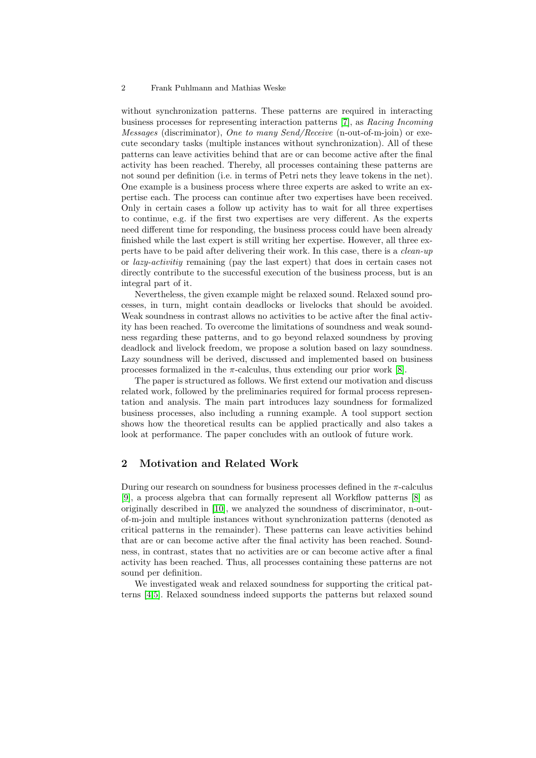without synchronization patterns. These patterns are required in interacting business processes for representing interaction patterns [\[7\]](#page-14-6), as Racing Incoming Messages (discriminator), One to many Send/Receive (n-out-of-m-join) or execute secondary tasks (multiple instances without synchronization). All of these patterns can leave activities behind that are or can become active after the final activity has been reached. Thereby, all processes containing these patterns are not sound per definition (i.e. in terms of Petri nets they leave tokens in the net). One example is a business process where three experts are asked to write an expertise each. The process can continue after two expertises have been received. Only in certain cases a follow up activity has to wait for all three expertises to continue, e.g. if the first two expertises are very different. As the experts need different time for responding, the business process could have been already finished while the last expert is still writing her expertise. However, all three experts have to be paid after delivering their work. In this case, there is a clean-up or lazy-activitiy remaining (pay the last expert) that does in certain cases not directly contribute to the successful execution of the business process, but is an integral part of it.

Nevertheless, the given example might be relaxed sound. Relaxed sound processes, in turn, might contain deadlocks or livelocks that should be avoided. Weak soundness in contrast allows no activities to be active after the final activity has been reached. To overcome the limitations of soundness and weak soundness regarding these patterns, and to go beyond relaxed soundness by proving deadlock and livelock freedom, we propose a solution based on lazy soundness. Lazy soundness will be derived, discussed and implemented based on business processes formalized in the  $\pi$ -calculus, thus extending our prior work [\[8\]](#page-15-0).

The paper is structured as follows. We first extend our motivation and discuss related work, followed by the preliminaries required for formal process representation and analysis. The main part introduces lazy soundness for formalized business processes, also including a running example. A tool support section shows how the theoretical results can be applied practically and also takes a look at performance. The paper concludes with an outlook of future work.

# <span id="page-1-0"></span>2 Motivation and Related Work

During our research on soundness for business processes defined in the  $\pi$ -calculus [\[9\]](#page-15-1), a process algebra that can formally represent all Workflow patterns [\[8\]](#page-15-0) as originally described in [\[10\]](#page-15-2), we analyzed the soundness of discriminator, n-outof-m-join and multiple instances without synchronization patterns (denoted as critical patterns in the remainder). These patterns can leave activities behind that are or can become active after the final activity has been reached. Soundness, in contrast, states that no activities are or can become active after a final activity has been reached. Thus, all processes containing these patterns are not sound per definition.

We investigated weak and relaxed soundness for supporting the critical patterns [\[4,](#page-14-3)[5\]](#page-14-4). Relaxed soundness indeed supports the patterns but relaxed sound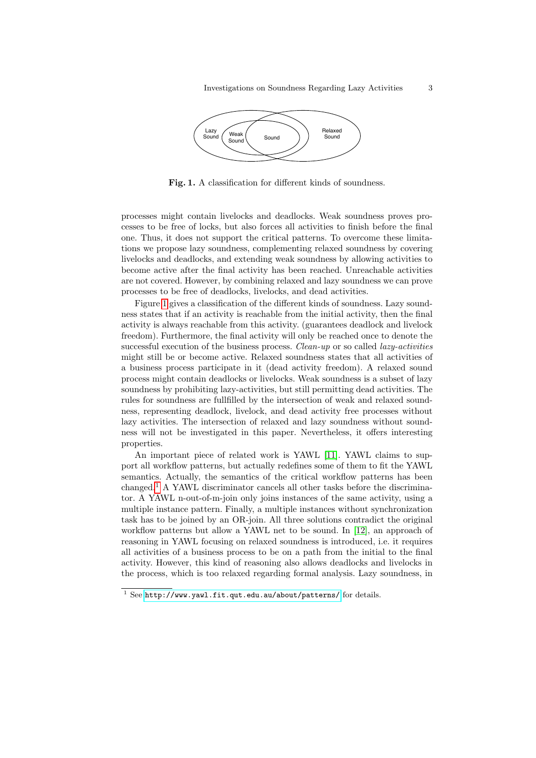

<span id="page-2-0"></span>Fig. 1. A classification for different kinds of soundness.

processes might contain livelocks and deadlocks. Weak soundness proves processes to be free of locks, but also forces all activities to finish before the final one. Thus, it does not support the critical patterns. To overcome these limitations we propose lazy soundness, complementing relaxed soundness by covering livelocks and deadlocks, and extending weak soundness by allowing activities to become active after the final activity has been reached. Unreachable activities are not covered. However, by combining relaxed and lazy soundness we can prove processes to be free of deadlocks, livelocks, and dead activities.

Figure [1](#page-2-0) gives a classification of the different kinds of soundness. Lazy soundness states that if an activity is reachable from the initial activity, then the final activity is always reachable from this activity. (guarantees deadlock and livelock freedom). Furthermore, the final activity will only be reached once to denote the successful execution of the business process. Clean-up or so called lazy-activities might still be or become active. Relaxed soundness states that all activities of a business process participate in it (dead activity freedom). A relaxed sound process might contain deadlocks or livelocks. Weak soundness is a subset of lazy soundness by prohibiting lazy-activities, but still permitting dead activities. The rules for soundness are fullfilled by the intersection of weak and relaxed soundness, representing deadlock, livelock, and dead activity free processes without lazy activities. The intersection of relaxed and lazy soundness without soundness will not be investigated in this paper. Nevertheless, it offers interesting properties.

An important piece of related work is YAWL [\[11\]](#page-15-3). YAWL claims to support all workflow patterns, but actually redefines some of them to fit the YAWL semantics. Actually, the semantics of the critical workflow patterns has been changed.[1](#page-2-1) A YAWL discriminator cancels all other tasks before the discriminator. A YAWL n-out-of-m-join only joins instances of the same activity, using a multiple instance pattern. Finally, a multiple instances without synchronization task has to be joined by an OR-join. All three solutions contradict the original workflow patterns but allow a YAWL net to be sound. In [\[12\]](#page-15-4), an approach of reasoning in YAWL focusing on relaxed soundness is introduced, i.e. it requires all activities of a business process to be on a path from the initial to the final activity. However, this kind of reasoning also allows deadlocks and livelocks in the process, which is too relaxed regarding formal analysis. Lazy soundness, in

<span id="page-2-1"></span> $1$  See <http://www.yawl.fit.qut.edu.au/about/patterns/> for details.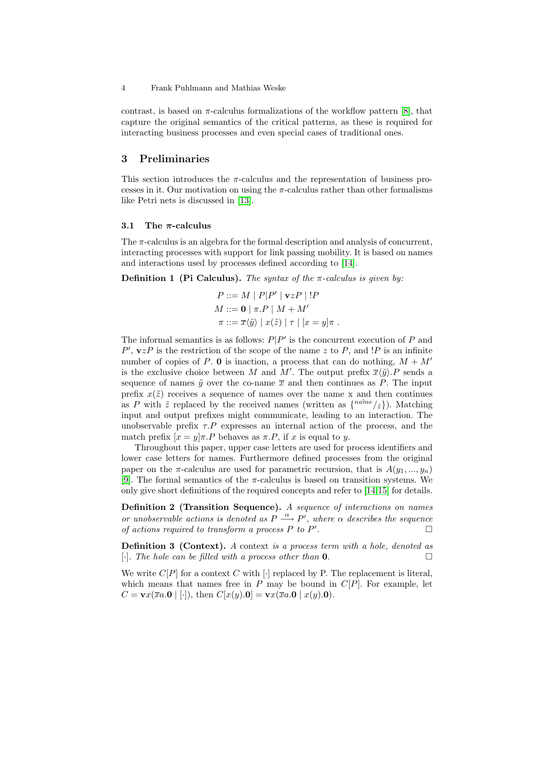contrast, is based on  $\pi$ -calculus formalizations of the workflow pattern [\[8\]](#page-15-0), that capture the original semantics of the critical patterns, as these is required for interacting business processes and even special cases of traditional ones.

# 3 Preliminaries

This section introduces the  $\pi$ -calculus and the representation of business processes in it. Our motivation on using the  $\pi$ -calculus rather than other formalisms like Petri nets is discussed in [\[13\]](#page-15-5).

### 3.1 The  $\pi$ -calculus

The  $\pi$ -calculus is an algebra for the formal description and analysis of concurrent, interacting processes with support for link passing mobility. It is based on names and interactions used by processes defined according to [\[14\]](#page-15-6).

**Definition 1 (Pi Calculus).** The syntax of the  $\pi$ -calculus is given by:

$$
P ::= M | P|P' | \mathbf{v}zP | !P
$$
  
\n
$$
M ::= \mathbf{0} | \pi.P | M + M'
$$
  
\n
$$
\pi ::= \overline{x}\langle \tilde{y} \rangle | x(\tilde{z}) | \tau | [x = y] \pi .
$$

The informal semantics is as follows:  $P|P'$  is the concurrent execution of P and  $P'$ ,  $vzP$  is the restriction of the scope of the name z to P, and !P is an infinite number of copies of P. 0 is inaction, a process that can do nothing,  $M + M'$ is the exclusive choice between M and M'. The output prefix  $\bar{x}\langle \tilde{y} \rangle$ . P sends a sequence of names  $\tilde{y}$  over the co-name  $\bar{x}$  and then continues as P. The input prefix  $x(\tilde{z})$  receives a sequence of names over the name x and then continues as P with  $\tilde{z}$  replaced by the received names (written as  $\{n\tilde{a}me/z\}$ ). Matching input and output prefixes might communicate, leading to an interaction. The unobservable prefix  $\tau.P$  expresses an internal action of the process, and the match prefix  $[x = y]\pi.P$  behaves as  $\pi.P$ , if x is equal to y.

Throughout this paper, upper case letters are used for process identifiers and lower case letters for names. Furthermore defined processes from the original paper on the  $\pi$ -calculus are used for parametric recursion, that is  $A(y_1, ..., y_n)$ [\[9\]](#page-15-1). The formal semantics of the  $\pi$ -calculus is based on transition systems. We only give short definitions of the required concepts and refer to [\[14](#page-15-6)[,15\]](#page-15-7) for details.

Definition 2 (Transition Sequence). A sequence of interactions on names or unobservable actions is denoted as  $P \stackrel{\alpha}{\longrightarrow} P'$ , where  $\alpha$  describes the sequence of actions required to transform a process  $P$  to  $P'$ .

Definition 3 (Context). A context is a process term with a hole, denoted as [·]. The hole can be filled with a process other than  $0$ .

We write  $C[P]$  for a context C with  $[\cdot]$  replaced by P. The replacement is literal, which means that names free in  $P$  may be bound in  $C[P]$ . For example, let  $C = \mathbf{v}x(\overline{x}a.\mathbf{0} | [\cdot]),$  then  $C[x(y).\mathbf{0}] = \mathbf{v}x(\overline{x}a.\mathbf{0} | x(y).\mathbf{0}).$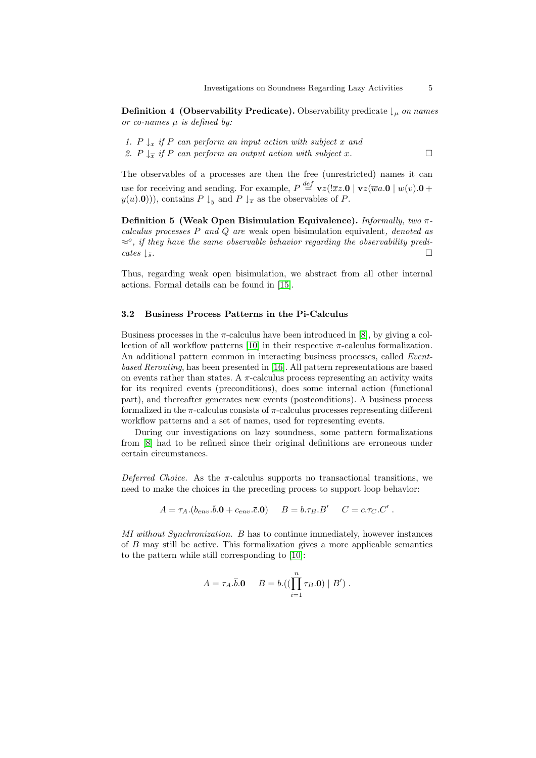**Definition 4 (Observability Predicate).** Observability predicate  $\downarrow_{\mu}$  on names or co-names  $\mu$  is defined by:

- 1. P  $\downarrow_x$  if P can perform an input action with subject x and
- 2. P  $\downarrow_{\overline{x}}$  if P can perform an output action with subject x.

The observables of a processes are then the free (unrestricted) names it can use for receiving and sending. For example,  $P \stackrel{def}{=} \mathbf{v}z(\overline{x}z.0 \mid \mathbf{v}z(\overline{w}a.0 \mid w(v).0 + \overline{w}z))$  $y(u).0)$ , contains P  $\downarrow_u$  and P  $\downarrow_{\overline{x}}$  as the observables of P.

Definition 5 (Weak Open Bisimulation Equivalence). Informally, two  $\pi$ calculus processes P and Q are weak open bisimulation equivalent, denoted as  $\approx$ <sup>o</sup>, if they have the same observable behavior regarding the observability predi- $\text{cases} \downarrow_{\tilde{s}}$ .

Thus, regarding weak open bisimulation, we abstract from all other internal actions. Formal details can be found in [\[15\]](#page-15-7).

### 3.2 Business Process Patterns in the Pi-Calculus

Business processes in the  $\pi$ -calculus have been introduced in [\[8\]](#page-15-0), by giving a col-lection of all workflow patterns [\[10\]](#page-15-2) in their respective  $\pi$ -calculus formalization. An additional pattern common in interacting business processes, called *Event*based Rerouting, has been presented in [\[16\]](#page-15-8). All pattern representations are based on events rather than states. A  $\pi$ -calculus process representing an activity waits for its required events (preconditions), does some internal action (functional part), and thereafter generates new events (postconditions). A business process formalized in the  $\pi$ -calculus consists of  $\pi$ -calculus processes representing different workflow patterns and a set of names, used for representing events.

During our investigations on lazy soundness, some pattern formalizations from [\[8\]](#page-15-0) had to be refined since their original definitions are erroneous under certain circumstances.

Deferred Choice. As the  $\pi$ -calculus supports no transactional transitions, we need to make the choices in the preceding process to support loop behavior:

$$
A = \tau_A.(b_{env}.\overline{b}.\mathbf{0} + c_{env}.\overline{c}.\mathbf{0}) \qquad B = b.\tau_B.B' \qquad C = c.\tau_C.C'.
$$

MI without Synchronization. B has to continue immediately, however instances of B may still be active. This formalization gives a more applicable semantics to the pattern while still corresponding to [\[10\]](#page-15-2):

$$
A = \tau_A.\overline{b}.\mathbf{0} \quad B = b.((\prod_{i=1}^n \tau_B.\mathbf{0}) \mid B') .
$$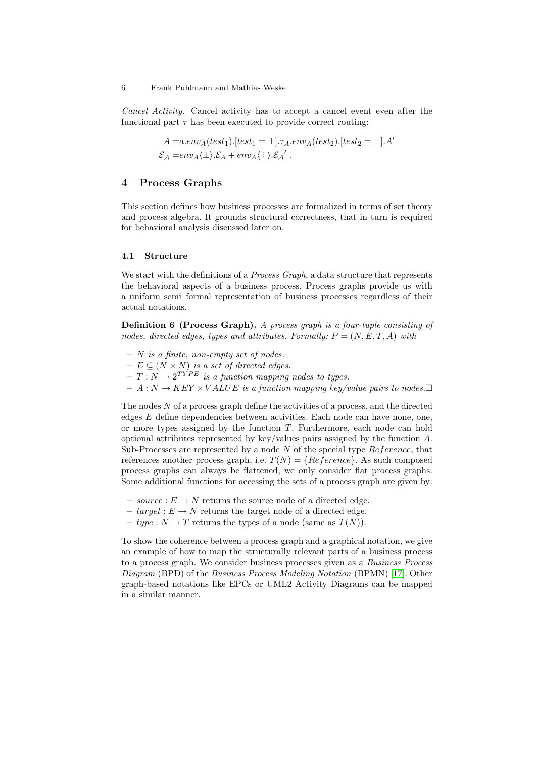Cancel Activity. Cancel activity has to accept a cancel event even after the functional part  $\tau$  has been executed to provide correct routing:

$$
A = a.\text{env}_A(test_1).[test_1 = \bot].\tau_A.\text{env}_A(test_2).[test_2 = \bot].A'
$$
  

$$
\mathcal{E}_{\mathcal{A}} = \overline{\text{env}_A} \langle \bot \rangle \mathcal{E}_A + \overline{\text{env}_A} \langle \top \rangle \mathcal{E}_{\mathcal{A}}'.
$$

# 4 Process Graphs

This section defines how business processes are formalized in terms of set theory and process algebra. It grounds structural correctness, that in turn is required for behavioral analysis discussed later on.

### 4.1 Structure

We start with the definitions of a *Process Graph*, a data structure that represents the behavioral aspects of a business process. Process graphs provide us with a uniform semi–formal representation of business processes regardless of their actual notations.

<span id="page-5-1"></span>Definition 6 (Process Graph). A process graph is a four-tuple consisting of nodes, directed edges, types and attributes. Formally:  $P = (N, E, T, A)$  with

- $N$  is a finite, non-empty set of nodes.
- $E \subseteq (N \times N)$  is a set of directed edges.
- $T : N \rightarrow 2^{TYPE}$  is a function mapping nodes to types.
- $A : N \to KEY \times VALUE$  is a function mapping key/value pairs to nodes.

The nodes  $N$  of a process graph define the activities of a process, and the directed edges  $E$  define dependencies between activities. Each node can have none, one, or more types assigned by the function T. Furthermore, each node can hold optional attributes represented by key/values pairs assigned by the function A. Sub-Processes are represented by a node  $N$  of the special type  $Reference$ , that references another process graph, i.e.  $T(N) = \{Reference\}$ . As such composed process graphs can always be flattened, we only consider flat process graphs. Some additional functions for accessing the sets of a process graph are given by:

- source :  $E \rightarrow N$  returns the source node of a directed edge.
- $target : E \rightarrow N$  returns the target node of a directed edge.
- $type: N \to T$  returns the types of a node (same as  $T(N)$ ).

<span id="page-5-0"></span>To show the coherence between a process graph and a graphical notation, we give an example of how to map the structurally relevant parts of a business process to a process graph. We consider business processes given as a Business Process Diagram (BPD) of the Business Process Modeling Notation (BPMN) [\[17\]](#page-15-9). Other graph-based notations like EPCs or UML2 Activity Diagrams can be mapped in a similar manner.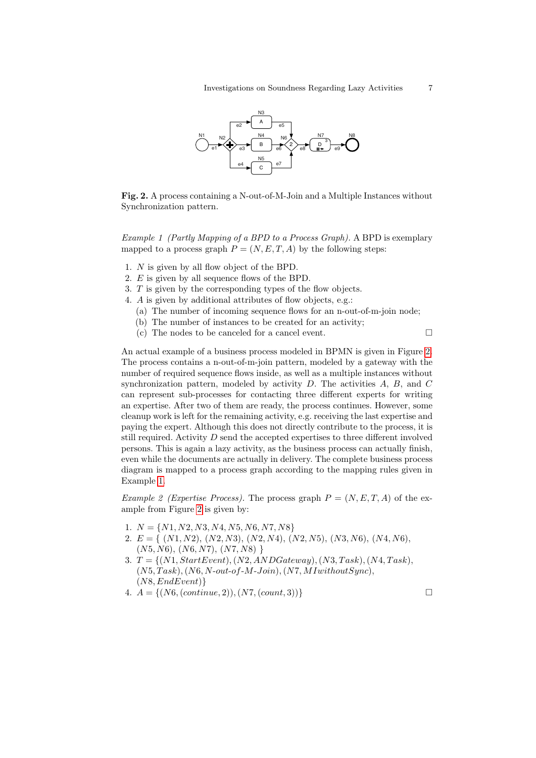

<span id="page-6-0"></span>Fig. 2. A process containing a N-out-of-M-Join and a Multiple Instances without Synchronization pattern.

Example 1 (Partly Mapping of a BPD to a Process Graph). A BPD is exemplary mapped to a process graph  $P = (N, E, T, A)$  by the following steps:

- 1. N is given by all flow object of the BPD.
- 2. E is given by all sequence flows of the BPD.
- 3. T is given by the corresponding types of the flow objects.
- 4. A is given by additional attributes of flow objects, e.g.:
	- (a) The number of incoming sequence flows for an n-out-of-m-join node;
	- (b) The number of instances to be created for an activity;
	- (c) The nodes to be canceled for a cancel event.

An actual example of a business process modeled in BPMN is given in Figure [2.](#page-6-0) The process contains a n-out-of-m-join pattern, modeled by a gateway with the number of required sequence flows inside, as well as a multiple instances without synchronization pattern, modeled by activity  $D$ . The activities  $A, B, A$  and  $C$ can represent sub-processes for contacting three different experts for writing an expertise. After two of them are ready, the process continues. However, some cleanup work is left for the remaining activity, e.g. receiving the last expertise and paying the expert. Although this does not directly contribute to the process, it is still required. Activity  $D$  send the accepted expertises to three different involved persons. This is again a lazy activity, as the business process can actually finish, even while the documents are actually in delivery. The complete business process diagram is mapped to a process graph according to the mapping rules given in Example [1.](#page-5-0)

<span id="page-6-1"></span>Example 2 (Expertise Process). The process graph  $P = (N, E, T, A)$  of the example from Figure [2](#page-6-0) is given by:

- 1.  $N = \{N1, N2, N3, N4, N5, N6, N7, N8\}$
- 2.  $E = \{ (N1, N2), (N2, N3), (N2, N4), (N2, N5), (N3, N6), (N4, N6), \}$  $(N5, N6), (N6, N7), (N7, N8)$
- 3.  $T = \{(N1, StartEvent), (N2, ANDGateway), (N3, Task), (N4, Task),\}$  $(N5, Task), (N6, N-out-of-M-Join), (N7, MI without Sync),$  $(N8, EndEvent)$
- 4.  $A = \{(N6, (continue, 2)), (N7, (count, 3))\}$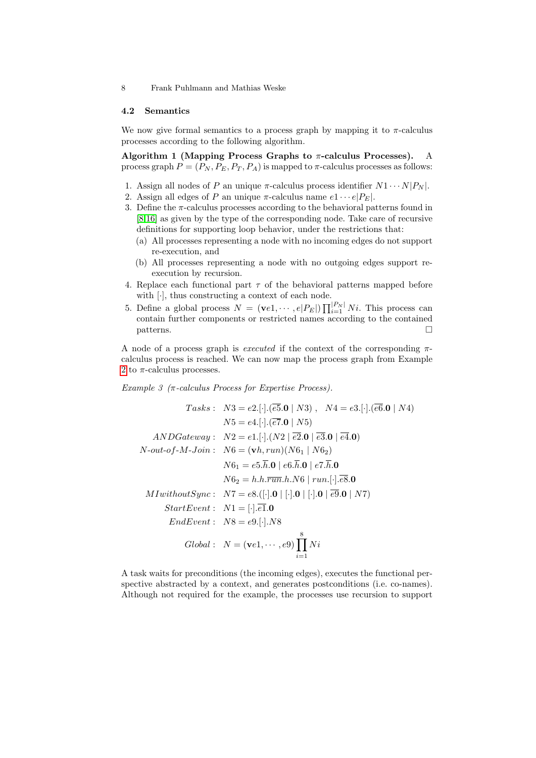### 4.2 Semantics

<span id="page-7-0"></span>We now give formal semantics to a process graph by mapping it to  $\pi$ -calculus processes according to the following algorithm.

Algorithm 1 (Mapping Process Graphs to  $\pi$ -calculus Processes). A process graph  $P = (P_N, P_F, P_T, P_A)$  is mapped to  $\pi$ -calculus processes as follows:

- 1. Assign all nodes of P an unique  $\pi$ -calculus process identifier  $N1 \cdots N|P_N|$ .
- 2. Assign all edges of P an unique  $\pi$ -calculus name  $e_1 \cdots e_{|P_F|}$ .
- 3. Define the  $\pi$ -calculus processes according to the behavioral patterns found in [\[8](#page-15-0)[,16\]](#page-15-8) as given by the type of the corresponding node. Take care of recursive definitions for supporting loop behavior, under the restrictions that:
	- (a) All processes representing a node with no incoming edges do not support re-execution, and
	- (b) All processes representing a node with no outgoing edges support reexecution by recursion.
- 4. Replace each functional part  $\tau$  of the behavioral patterns mapped before with [·], thus constructing a context of each node.
- 5. Define a global process  $N = (\mathbf{v}e1, \dots, e|P_E|) \prod_{i=1}^{|P_N|} Ni$ . This process can contain further components or restricted names according to the contained patterns.

A node of a process graph is *executed* if the context of the corresponding  $\pi$ calculus process is reached. We can now map the process graph from Example [2](#page-6-1) to  $\pi$ -calculus processes.

Example 3  $(\pi$ -calculus Process for Expertise Process).

<span id="page-7-1"></span>\n
$$
Tasks: \ N3 = e2.[\cdot].(\overline{e5.0} \mid N3), \ N4 = e3.[\cdot].(\overline{e6.0} \mid N4)
$$
\n
$$
N5 = e4.[\cdot].(\overline{e7.0} \mid N5)
$$
\n
$$
ANDGateway: \ N2 = e1.[\cdot].(N2 \mid \overline{e2.0} \mid \overline{e3.0} \mid \overline{e4.0})
$$
\n
$$
N-out-of-M-Join: \ N6 = (\mathbf{v}h, run)(N6_1 \mid N6_2)
$$
\n
$$
N6_1 = e5.\overline{h}.0 \mid e6.\overline{h}.0 \mid e7.\overline{h}.0
$$
\n
$$
N6_2 = h.h.\overline{run}.h.N6 \mid run.[\cdot].\overline{e8}.0
$$
\n
$$
MI without Sync: \ N7 = e8.([\cdot].0 \mid [\cdot].0 \mid [\cdot].0 \mid \overline{e9.0} \mid N7)
$$
\n
$$
StartEvent: \ N1 = [\cdot].\overline{e1}.0
$$
\n
$$
EndEvent: \ N8 = e9.[\cdot].N8
$$
\n
$$
Global: \ N = (\mathbf{v}e1, \dots, e9) \prod_{i=1}^{8} Ni
$$
\n

A task waits for preconditions (the incoming edges), executes the functional perspective abstracted by a context, and generates postconditions (i.e. co-names). Although not required for the example, the processes use recursion to support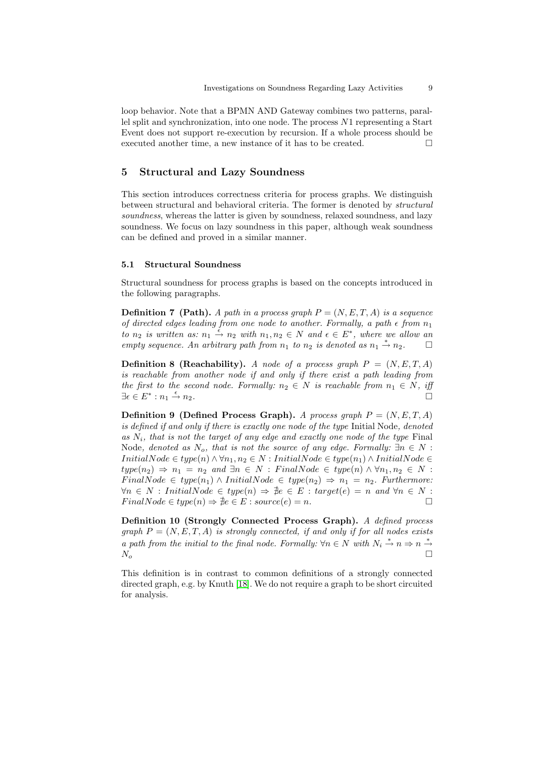loop behavior. Note that a BPMN AND Gateway combines two patterns, parallel split and synchronization, into one node. The process N1 representing a Start Event does not support re-execution by recursion. If a whole process should be executed another time, a new instance of it has to be created.

# 5 Structural and Lazy Soundness

This section introduces correctness criteria for process graphs. We distinguish between structural and behavioral criteria. The former is denoted by structural soundness, whereas the latter is given by soundness, relaxed soundness, and lazy soundness. We focus on lazy soundness in this paper, although weak soundness can be defined and proved in a similar manner.

### 5.1 Structural Soundness

Structural soundness for process graphs is based on the concepts introduced in the following paragraphs.

**Definition 7 (Path).** A path in a process graph  $P = (N, E, T, A)$  is a sequence of directed edges leading from one node to another. Formally, a path  $\epsilon$  from  $n_1$ to  $n_2$  is written as:  $n_1 \stackrel{\epsilon}{\rightarrow} n_2$  with  $n_1, n_2 \in N$  and  $\epsilon \in E^*$ , where we allow an empty sequence. An arbitrary path from  $n_1$  to  $n_2$  is denoted as  $n_1 \stackrel{*}{\rightarrow} n_2$ .

**Definition 8 (Reachability).** A node of a process graph  $P = (N, E, T, A)$ is reachable from another node if and only if there exist a path leading from the first to the second node. Formally:  $n_2 \in N$  is reachable from  $n_1 \in N$ , if  $\exists \epsilon \in E^* : n_1$  $\stackrel{\epsilon}{\rightarrow} n_2.$ 

<span id="page-8-1"></span>**Definition 9 (Defined Process Graph).** A process graph  $P = (N, E, T, A)$ is defined if and only if there is exactly one node of the type Initial Node, denoted as  $N_i$ , that is not the target of any edge and exactly one node of the type Final Node, denoted as  $N_o$ , that is not the source of any edge. Formally:  $\exists n \in N$ : *InitialNode* ∈  $type(n) \land \forall n_1, n_2 \in N$  : *InitialNode* ∈  $type(n_1) \land InitialNode \in$  $type(n_2) \Rightarrow n_1 = n_2$  and  $\exists n \in N : FinalNode \in type(n) \land \forall n_1, n_2 \in N$ : FinalNode ∈ type(n<sub>1</sub>) ∧ InitialNode ∈ type(n<sub>2</sub>)  $\Rightarrow$  n<sub>1</sub> = n<sub>2</sub>. Furthermore:  $\forall n \in N : InitialNode \in type(n) \Rightarrow \nexists e \in E : target(e) = n \text{ and } \forall n \in N :$  $FinalNode \in type(n) \Rightarrow \nexists e \in E : source(e) = n.$ 

<span id="page-8-2"></span>Definition 10 (Strongly Connected Process Graph). A defined process graph  $P = (N, E, T, A)$  is strongly connected, if and only if for all nodes exists a path from the initial to the final node. Formally:  $\forall n \in N$  with  $N_i \stackrel{*}{\rightarrow} n \Rightarrow n \stackrel{*}{\rightarrow} n$  $N_o$ 

<span id="page-8-0"></span>This definition is in contrast to common definitions of a strongly connected directed graph, e.g. by Knuth [\[18\]](#page-15-10). We do not require a graph to be short circuited for analysis.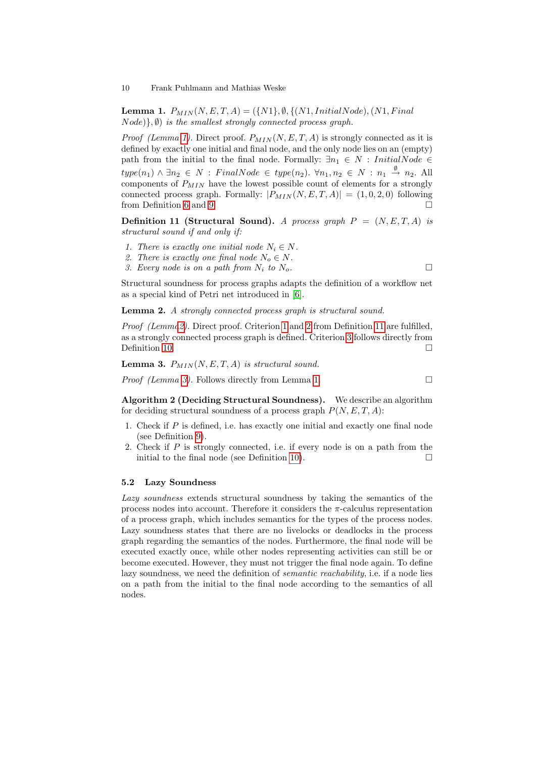**Lemma 1.**  $P_{MIN}(N, E, T, A) = (\{N1\}, \emptyset, \{(N1, InitialNode), (N1, Final$  $Node)\}, \emptyset$  is the smallest strongly connected process graph.

*Proof (Lemma [1\)](#page-8-0).* Direct proof.  $P_{MIN}(N, E, T, A)$  is strongly connected as it is defined by exactly one initial and final node, and the only node lies on an (empty) path from the initial to the final node. Formally:  $\exists n_1 \in N : InitialNode \in$  $type(n_1) \wedge \exists n_2 \in N : FinalNode \in type(n_2)$ .  $\forall n_1, n_2 \in N : n_1 \stackrel{\emptyset}{\rightarrow} n_2$ . All components of  $P_{MIN}$  have the lowest possible count of elements for a strongly connected process graph. Formally:  $|P_{MIN}(N, E, T, A)| = (1, 0, 2, 0)$  following from Definition [6](#page-5-1) and [9.](#page-8-1)

<span id="page-9-3"></span>Definition 11 (Structural Sound). A process graph  $P = (N, E, T, A)$  is structural sound if and only if:

- <span id="page-9-1"></span>1. There is exactly one initial node  $N_i \in N$ .
- <span id="page-9-2"></span>2. There is exactly one final node  $N_o \in N$ .
- <span id="page-9-4"></span>3. Every node is on a path from  $N_i$  to  $N_o$ .

Structural soundness for process graphs adapts the definition of a workflow net as a special kind of Petri net introduced in [\[6\]](#page-14-5).

<span id="page-9-0"></span>Lemma 2. A strongly connected process graph is structural sound.

Proof (Lemm[a2\)](#page-9-0). Direct proof. Criterion [1](#page-9-1) and [2](#page-9-2) from Definition [11](#page-9-3) are fulfilled, as a strongly connected process graph is defined. Criterion [3](#page-9-4) follows directly from Definition [10.](#page-8-2)

<span id="page-9-5"></span>**Lemma 3.**  $P_{MIN}(N, E, T, A)$  is structural sound.

*Proof (Lemma [3\)](#page-9-5).* Follows directly from Lemma [1.](#page-8-0)

Algorithm 2 (Deciding Structural Soundness). We describe an algorithm for deciding structural soundness of a process graph  $P(N, E, T, A)$ :

- 1. Check if  $P$  is defined, i.e. has exactly one initial and exactly one final node (see Definition [9\)](#page-8-1).
- 2. Check if P is strongly connected, i.e. if every node is on a path from the initial to the final node (see Definition [10\)](#page-8-2).  $\Box$

# 5.2 Lazy Soundness

Lazy soundness extends structural soundness by taking the semantics of the process nodes into account. Therefore it considers the  $\pi$ -calculus representation of a process graph, which includes semantics for the types of the process nodes. Lazy soundness states that there are no livelocks or deadlocks in the process graph regarding the semantics of the nodes. Furthermore, the final node will be executed exactly once, while other nodes representing activities can still be or become executed. However, they must not trigger the final node again. To define lazy soundness, we need the definition of *semantic reachability*, i.e. if a node lies on a path from the initial to the final node according to the semantics of all nodes.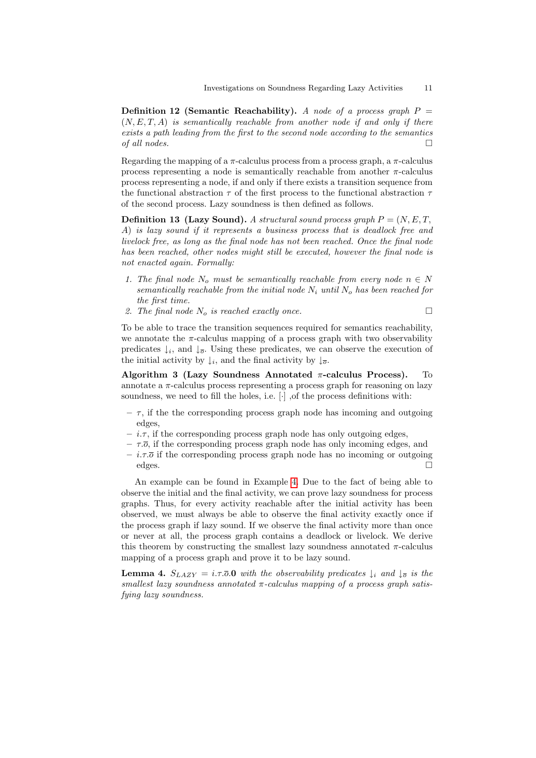**Definition 12 (Semantic Reachability).** A node of a process graph  $P =$  $(N, E, T, A)$  is semantically reachable from another node if and only if there exists a path leading from the first to the second node according to the semantics of all nodes.  $\Box$ 

Regarding the mapping of a  $\pi$ -calculus process from a process graph, a  $\pi$ -calculus process representing a node is semantically reachable from another  $\pi$ -calculus process representing a node, if and only if there exists a transition sequence from the functional abstraction  $\tau$  of the first process to the functional abstraction  $\tau$ of the second process. Lazy soundness is then defined as follows.

**Definition 13 (Lazy Sound).** A structural sound process graph  $P = (N, E, T, T)$ A) is lazy sound if it represents a business process that is deadlock free and livelock free, as long as the final node has not been reached. Once the final node has been reached, other nodes might still be executed, however the final node is not enacted again. Formally:

- 1. The final node  $N_o$  must be semantically reachable from every node  $n \in N$ semantically reachable from the initial node  $N_i$  until  $N_o$  has been reached for the first time.
- 2. The final node  $N_o$  is reached exactly once.

To be able to trace the transition sequences required for semantics reachability, we annotate the  $\pi$ -calculus mapping of a process graph with two observability predicates  $\downarrow_i$ , and  $\downarrow_{\overline{o}}$ . Using these predicates, we can observe the execution of the initial activity by  $\downarrow_i$ , and the final activity by  $\downarrow_{\overline{o}}$ .

<span id="page-10-1"></span>Algorithm 3 (Lazy Soundness Annotated  $\pi$ -calculus Process). To annotate a  $\pi$ -calculus process representing a process graph for reasoning on lazy soundness, we need to fill the holes, i.e. [·] ,of the process definitions with:

- $\tau$ , if the the corresponding process graph node has incoming and outgoing edges,
- $i.\tau$ , if the corresponding process graph node has only outgoing edges,
- $\tau \cdot \overline{\phi}$ , if the corresponding process graph node has only incoming edges, and
- $i \tau \bar{\sigma}$  if the corresponding process graph node has no incoming or outgoing edges.

An example can be found in Example [4.](#page-12-0) Due to the fact of being able to observe the initial and the final activity, we can prove lazy soundness for process graphs. Thus, for every activity reachable after the initial activity has been observed, we must always be able to observe the final activity exactly once if the process graph if lazy sound. If we observe the final activity more than once or never at all, the process graph contains a deadlock or livelock. We derive this theorem by constructing the smallest lazy soundness annotated  $\pi$ -calculus mapping of a process graph and prove it to be lazy sound.

<span id="page-10-0"></span>**Lemma 4.**  $S_{LAZY} = i.\tau.\overline{o}0$  with the observability predicates  $\downarrow_i$  and  $\downarrow_{\overline{o}}$  is the smallest lazy soundness annotated  $\pi$ -calculus mapping of a process graph satisfying lazy soundness.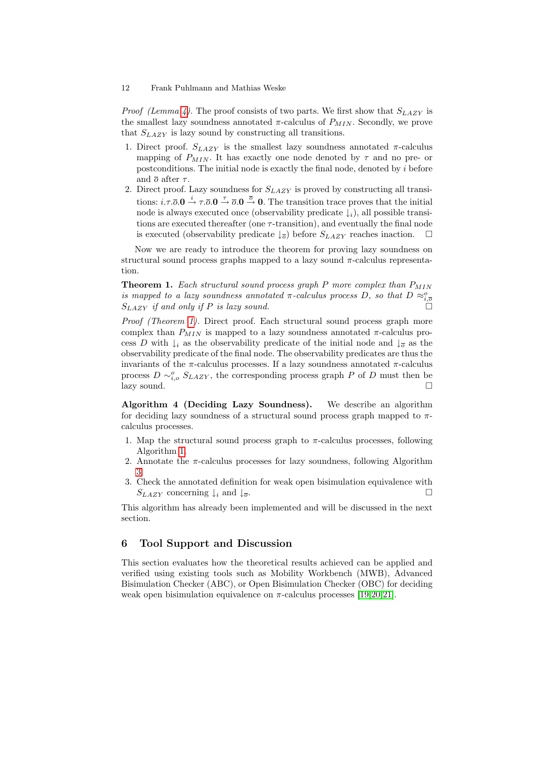*Proof (Lemma [4\)](#page-10-0)*. The proof consists of two parts. We first show that  $S_{LAZY}$  is the smallest lazy soundness annotated  $\pi$ -calculus of  $P_{MIN}$ . Secondly, we prove that  $S_{LAZY}$  is lazy sound by constructing all transitions.

- 1. Direct proof.  $S_{LAZY}$  is the smallest lazy soundness annotated  $\pi$ -calculus mapping of  $P_{MIN}$ . It has exactly one node denoted by  $\tau$  and no pre- or postconditions. The initial node is exactly the final node, denoted by i before and  $\bar{o}$  after  $\tau$ .
- 2. Direct proof. Lazy soundness for  $S_{LAZY}$  is proved by constructing all transitions:  $i.\tau.\overline{o}.\mathbf{0} \stackrel{i}{\rightarrow} \tau.\overline{o}.\mathbf{0} \stackrel{\tau}{\rightarrow} \overline{o}.\mathbf{0} \stackrel{\overline{o}}{\rightarrow} \mathbf{0}$ . The transition trace proves that the initial node is always executed once (observability predicate  $\downarrow_i$ ), all possible transitions are executed thereafter (one  $\tau$ -transition), and eventually the final node is executed (observability predicate  $\downarrow_{\overline{o}}$ ) before  $S_{LAZY}$  reaches inaction.  $\square$

<span id="page-11-0"></span>Now we are ready to introduce the theorem for proving lazy soundness on structural sound process graphs mapped to a lazy sound  $\pi$ -calculus representation.

**Theorem 1.** Each structural sound process graph P more complex than  $P_{MIN}$ is mapped to a lazy soundness annotated  $\pi$ -calculus process D, so that  $D \approx_{i,\bar{o}}^{o}$  $S_{LAZY}$  if and only if  $P$  is lazy sound.

Proof (Theorem [1\)](#page-11-0). Direct proof. Each structural sound process graph more complex than  $P_{MIN}$  is mapped to a lazy soundness annotated  $\pi$ -calculus process D with  $\downarrow_i$  as the observability predicate of the initial node and  $\downarrow_{\overline{o}}$  as the observability predicate of the final node. The observability predicates are thus the invariants of the  $\pi$ -calculus processes. If a lazy soundness annotated  $\pi$ -calculus process  $D \sim_{i,o}^o S_{LAZY}$ , the corresponding process graph P of D must then be  $\Box$ 

Algorithm 4 (Deciding Lazy Soundness). We describe an algorithm for deciding lazy soundness of a structural sound process graph mapped to  $\pi$ calculus processes.

- 1. Map the structural sound process graph to  $\pi$ -calculus processes, following Algorithm [1.](#page-7-0)
- 2. Annotate the  $\pi$ -calculus processes for lazy soundness, following Algorithm [3.](#page-10-1)
- 3. Check the annotated definition for weak open bisimulation equivalence with  $S_{LAZY}$  concerning  $\downarrow_i$  and  $\downarrow_{\overline{o}}$ .

This algorithm has already been implemented and will be discussed in the next section.

# 6 Tool Support and Discussion

This section evaluates how the theoretical results achieved can be applied and verified using existing tools such as Mobility Workbench (MWB), Advanced Bisimulation Checker (ABC), or Open Bisimulation Checker (OBC) for deciding weak open bisimulation equivalence on  $\pi$ -calculus processes [\[19,](#page-15-11)[20,](#page-15-12)[21\]](#page-15-13).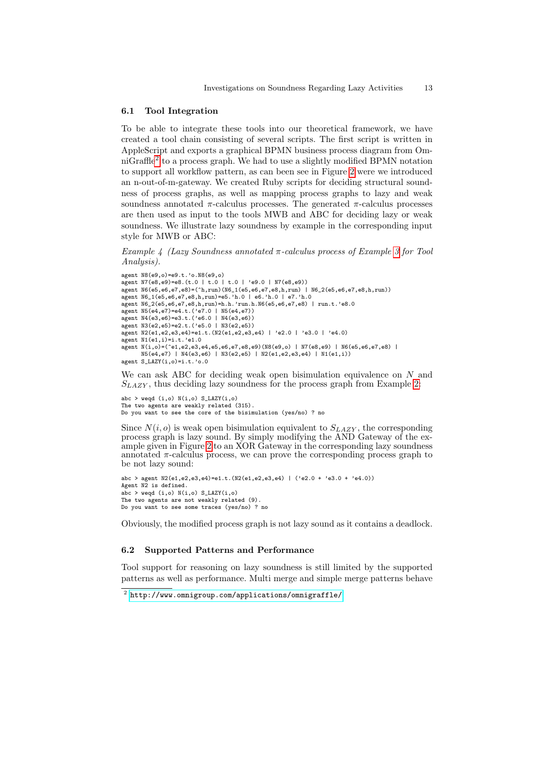### 6.1 Tool Integration

To be able to integrate these tools into our theoretical framework, we have created a tool chain consisting of several scripts. The first script is written in AppleScript and exports a graphical BPMN business process diagram from OmniGraffle[2](#page-12-1) to a process graph. We had to use a slightly modified BPMN notation to support all workflow pattern, as can been see in Figure [2](#page-6-0) were we introduced an n-out-of-m-gateway. We created Ruby scripts for deciding structural soundness of process graphs, as well as mapping process graphs to lazy and weak soundness annotated  $\pi$ -calculus processes. The generated  $\pi$ -calculus processes are then used as input to the tools MWB and ABC for deciding lazy or weak soundness. We illustrate lazy soundness by example in the corresponding input style for MWB or ABC:

<span id="page-12-0"></span>Example 4 (Lazy Soundness annotated  $\pi$ -calculus process of Example [3](#page-7-1) for Tool Analysis).

```
agent N8(e9,o)=e9.t.'o.N8(e9,o)
agent N7(e8,e9)=e8.(t.0 | t.0 | t.0 | 'e9.0 | N7(e8,e9))
agent N6(e5,e6,e7,e8)=(^h,run)(N6_1(e5,e6,e7,e8,h,run) | N6_2(e5,e6,e7,e8,h,run))
agent N6_1(e5,e6,e7,e8,h,run)=e5.'h.0 | e6.'h.0 | e7.'h.0
agent N6_2(e5.e6.e7.e8.h.run)=h.h.'run.h.N6(e5.e6.e7.e8) | run.t.'e8.0
agent N5(e4,e7)=e4.t.('e7.0 | N5(e4,e7))
agent N4(e3,e6)=e3.t.('e6.0 | N4(e3,e6))
agent N3(e2,e5)=e2.t.('e5.0 | N3(e2,e5))
agent N2(e1,e2,e3,e4)=e1.t.(N2(e1,e2,e3,e4) | 'e2.0 | 'e3.0 | 'e4.0)
agent N1(e1,i)=i.t.'e1.0
agent N(i,o)=(^e1,e2,e3,e4,e5,e6,e7,e8,e9)(N8(e9,o) | N7(e8,e9) | N6(e5,e6,e7,e8) |
      N5(e4,e7) | N4(e3,e6) | N3(e2,e5) | N2(e1,e2,e3,e4) | N1(e1,i))
agent S LAZY(i,o)=i.t.'o.0
```
We can ask ABC for deciding weak open bisimulation equivalence on N and  $S_{LAZY}$ , thus deciding lazy soundness for the process graph from Example [2:](#page-6-1)

```
abc > weqd (i, o) N(i, o) S_L A Z Y(i, o)The two agents are weakly related (315).
Do you want to see the core of the bisimulation (yes/no) ? no
```
Since  $N(i, o)$  is weak open bisimulation equivalent to  $S_{LAZY}$ , the corresponding process graph is lazy sound. By simply modifying the AND Gateway of the example given in Figure [2](#page-6-0) to an XOR Gateway in the corresponding lazy soundness annotated  $\pi$ -calculus process, we can prove the corresponding process graph to be not lazy sound:

```
abc > agent N2(e1,e2,e3,e4)=e1.t.(N2(e1,e2,e3,e4) | ('e2.0 + 'e3.0 + 'e4.0))
Agent N2 is defined.
abc > weqd (i, o) N(i, o) S_LLAZY(i, o)The two agents are not weakly related (9).
Do you want to see some traces (yes/no) ? no
```
Obviously, the modified process graph is not lazy sound as it contains a deadlock.

### 6.2 Supported Patterns and Performance

Tool support for reasoning on lazy soundness is still limited by the supported patterns as well as performance. Multi merge and simple merge patterns behave

<span id="page-12-1"></span> $^2$  <http://www.omnigroup.com/applications/omnigraffle/>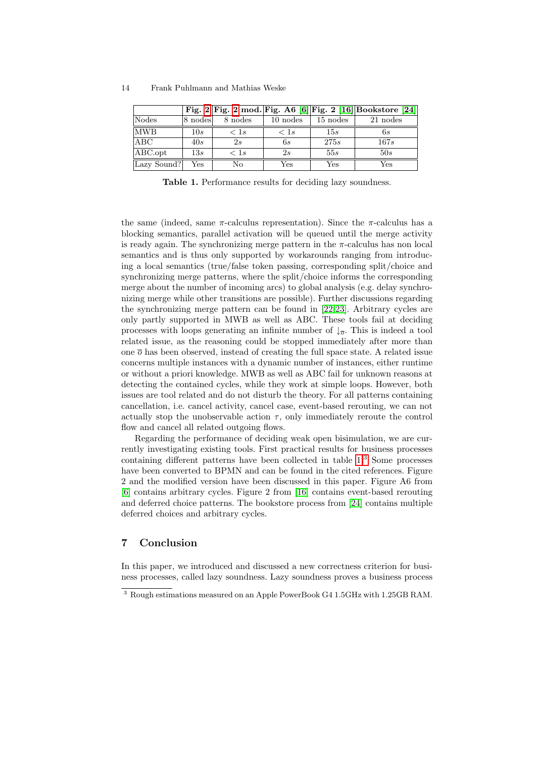|             |         |         |            |          | Fig. 2 Fig. 2 mod. Fig. A6 [6] Fig. 2 [16] Bookstore [24] |
|-------------|---------|---------|------------|----------|-----------------------------------------------------------|
| Nodes       | 8 nodes | 8 nodes | $10$ nodes | 15 nodes | 21 nodes                                                  |
| <b>MWB</b>  | 10s     | < 1s    | < 1s       | 15s      | 6 $s$                                                     |
| ABC         | 40s     | 2s      | 6s         | 275s     | 167s                                                      |
| ABC.opt     | 13s     | < 1s    | 2s         | 55s      | 50s                                                       |
| Lazy Sound? | Yes     | No      | Yes        | Yes      | Yes                                                       |

<span id="page-13-0"></span>Table 1. Performance results for deciding lazy soundness.

the same (indeed, same  $\pi$ -calculus representation). Since the  $\pi$ -calculus has a blocking semantics, parallel activation will be queued until the merge activity is ready again. The synchronizing merge pattern in the  $\pi$ -calculus has non local semantics and is thus only supported by workarounds ranging from introducing a local semantics (true/false token passing, corresponding split/choice and synchronizing merge patterns, where the split/choice informs the corresponding merge about the number of incoming arcs) to global analysis (e.g. delay synchronizing merge while other transitions are possible). Further discussions regarding the synchronizing merge pattern can be found in [\[22,](#page-15-15)[23\]](#page-15-16). Arbitrary cycles are only partly supported in MWB as well as ABC. These tools fail at deciding processes with loops generating an infinite number of  $\downarrow_{\overline{o}}$ . This is indeed a tool related issue, as the reasoning could be stopped immediately after more than one  $\overline{o}$  has been observed, instead of creating the full space state. A related issue concerns multiple instances with a dynamic number of instances, either runtime or without a priori knowledge. MWB as well as ABC fail for unknown reasons at detecting the contained cycles, while they work at simple loops. However, both issues are tool related and do not disturb the theory. For all patterns containing cancellation, i.e. cancel activity, cancel case, event-based rerouting, we can not actually stop the unobservable action  $\tau$ , only immediately reroute the control flow and cancel all related outgoing flows.

Regarding the performance of deciding weak open bisimulation, we are currently investigating existing tools. First practical results for business processes containing different patterns have been collected in table [1.](#page-13-0)[3](#page-13-1) Some processes have been converted to BPMN and can be found in the cited references. Figure 2 and the modified version have been discussed in this paper. Figure A6 from [\[6\]](#page-14-5) contains arbitrary cycles. Figure 2 from [\[16\]](#page-15-8) contains event-based rerouting and deferred choice patterns. The bookstore process from [\[24\]](#page-15-14) contains multiple deferred choices and arbitrary cycles.

# 7 Conclusion

In this paper, we introduced and discussed a new correctness criterion for business processes, called lazy soundness. Lazy soundness proves a business process

<span id="page-13-1"></span><sup>3</sup> Rough estimations measured on an Apple PowerBook G4 1.5GHz with 1.25GB RAM.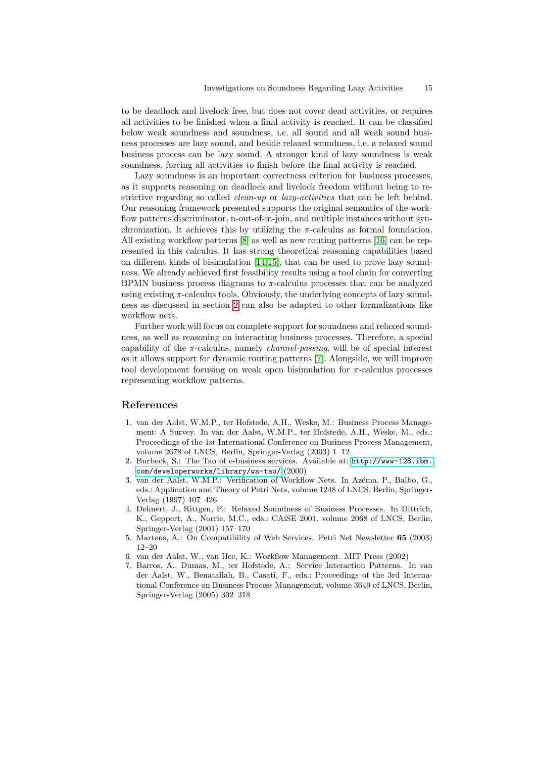to be deadlock and livelock free, but does not cover dead activities, or requires all activities to be finished when a final activity is reached. It can be classified below weak soundness and soundness, i.e. all sound and all weak sound business processes are lazy sound, and beside relaxed soundness, i.e. a relaxed sound business process can be lazy sound. A stronger kind of lazy soundness is weak soundness, forcing all activities to finish before the final activity is reached.

Lazy soundness is an important correctness criterion for business processes, as it supports reasoning on deadlock and livelock freedom without being to restrictive regarding so called *clean-up* or *lazy-activities* that can be left behind. Our reasoning framework presented supports the original semantics of the workflow patterns discriminator, n-out-of-m-join, and multiple instances without synchronization. It achieves this by utilizing the  $\pi$ -calculus as formal foundation. All existing workflow patterns [\[8\]](#page-15-0) as well as new routing patterns [\[16\]](#page-15-8) can be represented in this calculus. It has strong theoretical reasoning capabilities based on different kinds of bisimulation [\[14,](#page-15-6)[15\]](#page-15-7), that can be used to prove lazy soundness. We already achieved first feasibility results using a tool chain for converting BPMN business process diagrams to  $\pi$ -calculus processes that can be analyzed using existing  $\pi$ -calculus tools. Obviously, the underlying concepts of lazy soundness as discussed in section [2](#page-1-0) can also be adapted to other formalizations like workflow nets.

Further work will focus on complete support for soundness and relaxed soundness, as well as reasoning on interacting business processes. Therefore, a special capability of the  $\pi$ -calculus, namely *channel-passing*, will be of special interest as it allows support for dynamic routing patterns [\[7\]](#page-14-6). Alongside, we will improve tool development focusing on weak open bisimulation for  $\pi$ -calculus processes representing workflow patterns.

# References

- <span id="page-14-0"></span>1. van der Aalst, W.M.P., ter Hofstede, A.H., Weske, M.: Business Process Management: A Survey. In van der Aalst, W.M.P., ter Hofstede, A.H., Weske, M., eds.: Proceedings of the 1st International Conference on Business Process Management, volume 2678 of LNCS, Berlin, Springer-Verlag (2003) 1–12
- <span id="page-14-1"></span>2. Burbeck, S.: The Tao of e-business services. Available at: [http://www-128.ibm.](http://www-128.ibm.com/developerworks/library/ws-tao/) [com/developerworks/library/ws-tao/](http://www-128.ibm.com/developerworks/library/ws-tao/) (2000)
- <span id="page-14-2"></span>3. van der Aalst, W.M.P.: Verification of Workflow Nets. In Azéma, P., Balbo, G., eds.: Application and Theory of Petri Nets, volume 1248 of LNCS, Berlin, Springer-Verlag (1997) 407–426
- <span id="page-14-3"></span>4. Dehnert, J., Rittgen, P.: Relaxed Soundness of Business Processes. In Dittrich, K., Geppert, A., Norrie, M.C., eds.: CAiSE 2001, volume 2068 of LNCS, Berlin, Springer-Verlag (2001) 157–170
- <span id="page-14-4"></span>5. Martens, A.: On Compatibility of Web Services. Petri Net Newsletter 65 (2003) 12–20
- <span id="page-14-5"></span>6. van der Aalst, W., van Hee, K.: Workflow Management. MIT Press (2002)
- <span id="page-14-6"></span>7. Barros, A., Dumas, M., ter Hofstede, A.: Service Interaction Patterns. In van der Aalst, W., Benatallah, B., Casati, F., eds.: Proceedings of the 3rd International Conference on Business Process Management, volume 3649 of LNCS, Berlin, Springer-Verlag (2005) 302–318